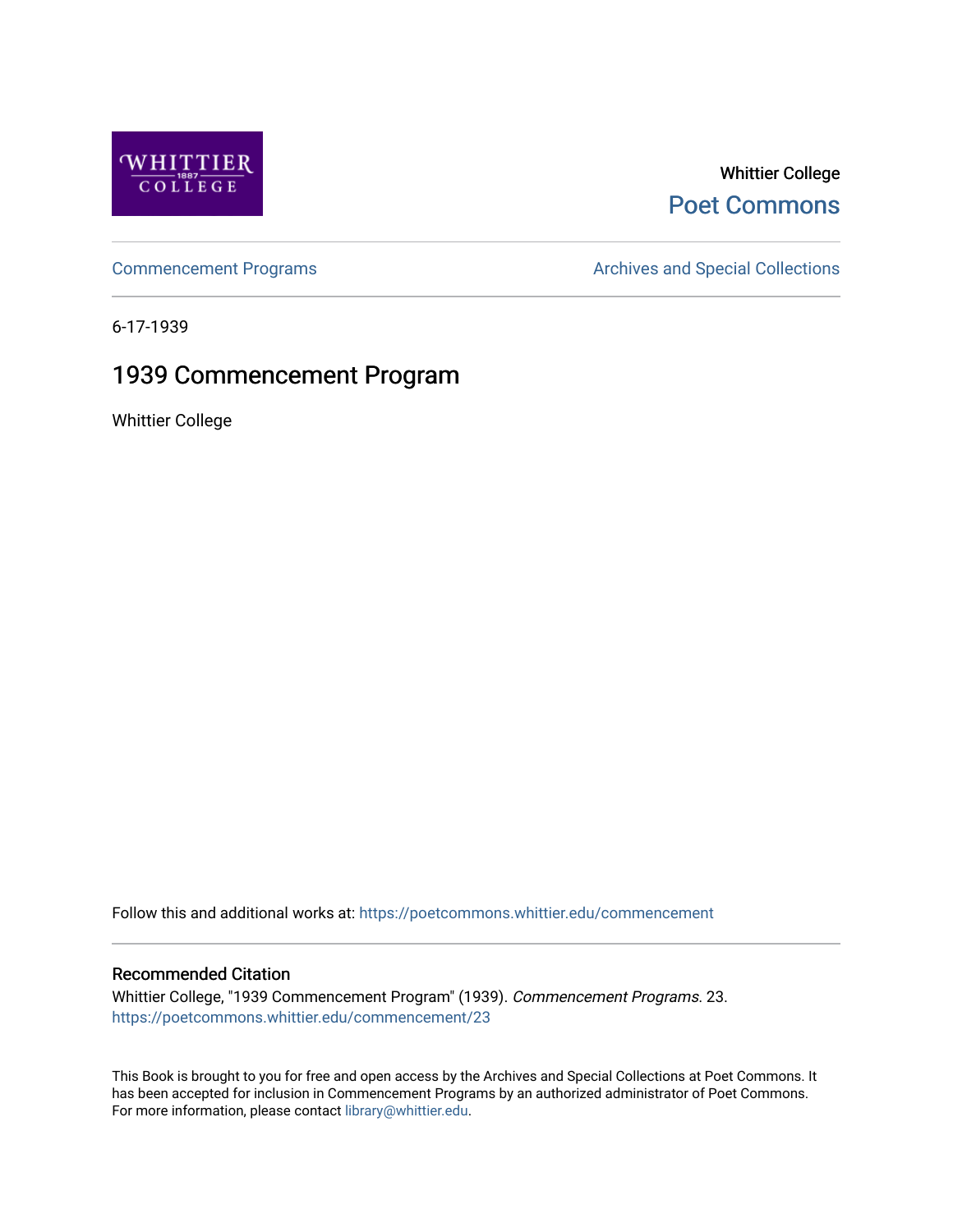

### Whittier College [Poet Commons](https://poetcommons.whittier.edu/)

[Commencement Programs](https://poetcommons.whittier.edu/commencement) **Archives and Special Collections** Archives and Special Collections

6-17-1939

## 1939 Commencement Program

Whittier College

Follow this and additional works at: [https://poetcommons.whittier.edu/commencement](https://poetcommons.whittier.edu/commencement?utm_source=poetcommons.whittier.edu%2Fcommencement%2F23&utm_medium=PDF&utm_campaign=PDFCoverPages) 

### Recommended Citation

Whittier College, "1939 Commencement Program" (1939). Commencement Programs. 23. [https://poetcommons.whittier.edu/commencement/23](https://poetcommons.whittier.edu/commencement/23?utm_source=poetcommons.whittier.edu%2Fcommencement%2F23&utm_medium=PDF&utm_campaign=PDFCoverPages)

This Book is brought to you for free and open access by the Archives and Special Collections at Poet Commons. It has been accepted for inclusion in Commencement Programs by an authorized administrator of Poet Commons. For more information, please contact [library@whittier.edu.](mailto:library@whittier.edu)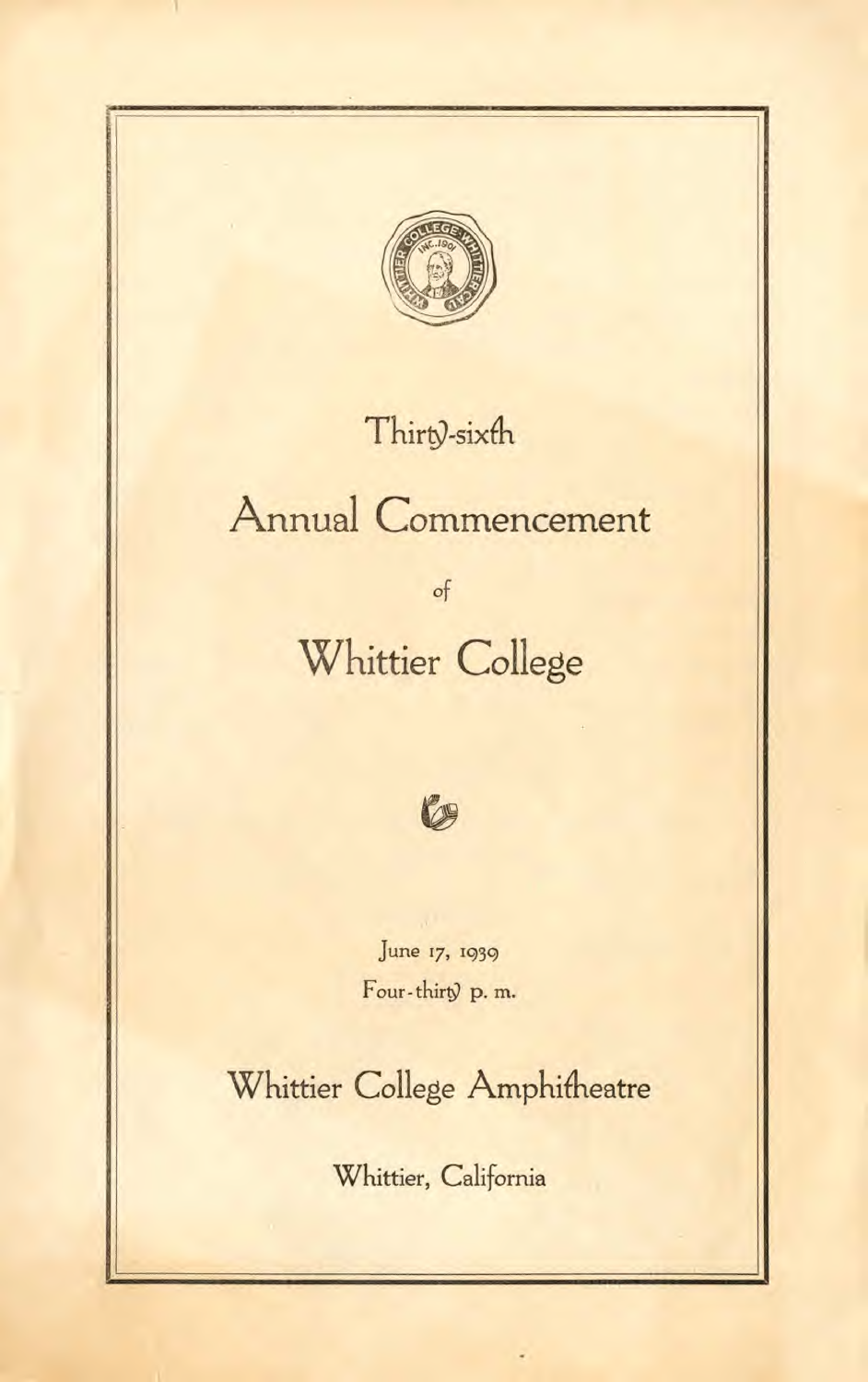

## Thirty-sixth

# Annual Commencement

of

# Whittier College



June 17, 1939 Four-thirty p.m.

Whittier College Amphitheatre

Whittier, California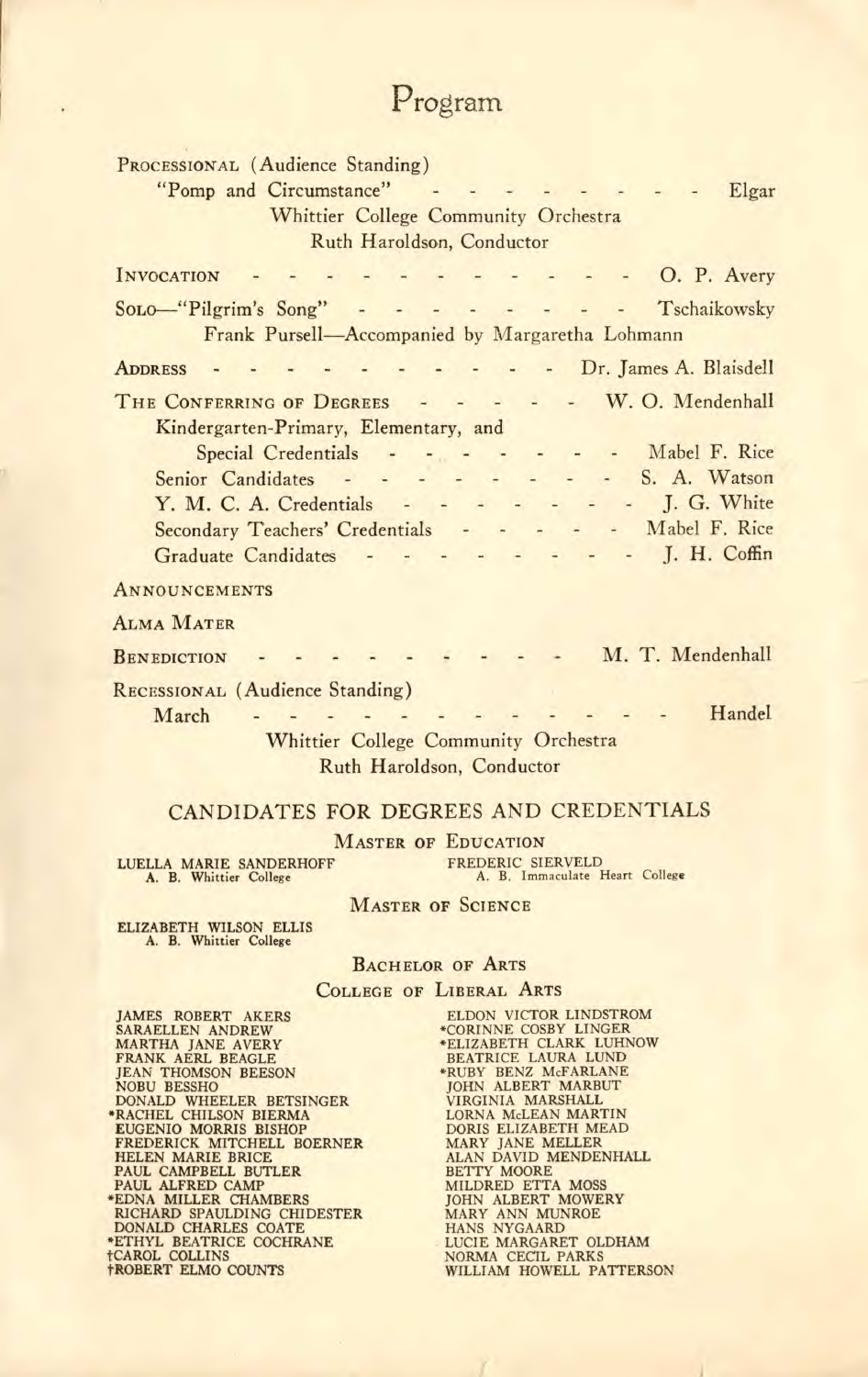# Program

| PROCESSIONAL (Audience Standing)                   |                                                                                                                    |
|----------------------------------------------------|--------------------------------------------------------------------------------------------------------------------|
|                                                    | "Pomp and Circumstance" - - - - - - - - Elgar                                                                      |
|                                                    | Whittier College Community Orchestra                                                                               |
| Ruth Haroldson, Conductor                          |                                                                                                                    |
|                                                    |                                                                                                                    |
| <b>INVOCATION</b>                                  | $- - -$ O. P. Avery                                                                                                |
|                                                    | Solo-"Pilgrim's Song" - - - - - - - - Tschaikowsky                                                                 |
|                                                    | Frank Pursell-Accompanied by Margaretha Lohmann                                                                    |
| <b>ADDRESS</b>                                     | - Dr. James A. Blaisdell                                                                                           |
|                                                    | THE CONFERRING OF DEGREES - - - - - W.O. Mendenhall                                                                |
| Kindergarten-Primary, Elementary, and              |                                                                                                                    |
|                                                    | Special Credentials - - - - - - - - Mabel F. Rice                                                                  |
|                                                    | Senior Candidates - - - - - - - - - S. A. Watson                                                                   |
|                                                    | Y. M. C. A. Credentials - - - - - - - J. G. White                                                                  |
|                                                    |                                                                                                                    |
|                                                    | Secondary Teachers' Credentials - - - - - Mabel F. Rice                                                            |
| Graduate Candidates -                              | $ \blacksquare$ J. H. Coffin<br>$\omega_{\rm{eff}} = -\omega_{\rm{eff}} = -\omega_{\rm{eff}} = -\omega_{\rm{eff}}$ |
| <b>ANNOUNCEMENTS</b>                               |                                                                                                                    |
| <b>ALMA MATER</b>                                  |                                                                                                                    |
| M. T. Mendenhall<br><b>BENEDICTION</b>             |                                                                                                                    |
| RECESSIONAL (Audience Standing)                    |                                                                                                                    |
| March                                              | Handel                                                                                                             |
| Whittier College Community Orchestra               |                                                                                                                    |
|                                                    |                                                                                                                    |
| Ruth Haroldson, Conductor                          |                                                                                                                    |
| CANDIDATES FOR DEGREES AND CREDENTIALS             |                                                                                                                    |
| <b>MASTER OF EDUCATION</b>                         |                                                                                                                    |
| <b>LUELLA MARIE SANDERHOFF</b>                     | FREDERIC SIERVELD                                                                                                  |
| A. B. Whittier College                             | A. B. Immaculate Heart College                                                                                     |
| <b>MASTER OF SCIENCE</b>                           |                                                                                                                    |
| <b>ELIZABETH WILSON ELLIS</b>                      |                                                                                                                    |
| A. B. Whittier College                             |                                                                                                                    |
| <b>BACHELOR OF ARTS</b>                            |                                                                                                                    |
|                                                    | <b>COLLEGE OF LIBERAL ARTS</b>                                                                                     |
| <b>JAMES ROBERT AKERS</b><br>SARAELLEN ANDREW      | ELDON VICTOR LINDSTROM<br>*CORINNE COSBY LINGER                                                                    |
| <b>MARTHA JANE AVERY</b>                           | *ELIZABETH CLARK LUHNOW                                                                                            |
| FRANK AERL BEAGLE<br><b>JEAN THOMSON BEESON</b>    | <b>BEATRICE LAURA LUND</b><br>*RUBY BENZ McFARLANE                                                                 |
| <b>NOBU BESSHO</b>                                 | <b>JOHN ALBERT MARBUT</b>                                                                                          |
| DONALD WHEELER BETSINGER<br>*RACHEL CHILSON BIERMA | VIRGINIA MARSHALL<br>LORNA McLEAN MARTIN                                                                           |
| <b>EUGENIO MORRIS BISHOP</b>                       | DORIS ELIZABETH MEAD                                                                                               |
| FREDERICK MITCHELL BOERNER<br>HELEN MARIE BRICE    | MARY JANE MELLER<br>ALAN DAVID MENDENHALL                                                                          |
| PAUL CAMPBELL BUTLER                               | <b>BETTY MOORE</b>                                                                                                 |
| PAUL ALFRED CAMP<br>*EDNA MILLER CHAMBERS          | <b>MILDRED ETTA MOSS</b><br><b>JOHN ALBERT MOWERY</b>                                                              |
| RICHARD SPAULDING CHIDESTER                        | MARY ANN MUNROE                                                                                                    |
| DONALD CHARLES COATE                               | HANS NYGAARD                                                                                                       |
| *ETHYL BEATRICE COCHRANE<br><b>†CAROL COLLINS</b>  | LUCIE MARGARET OLDHAM<br>NORMA CECIL PARKS                                                                         |
| <b>†ROBERT ELMO COUNTS</b>                         | WILLIAM HOWELL PATTERSON                                                                                           |

 $\mathcal{A}$ 

 $\mathcal{L}$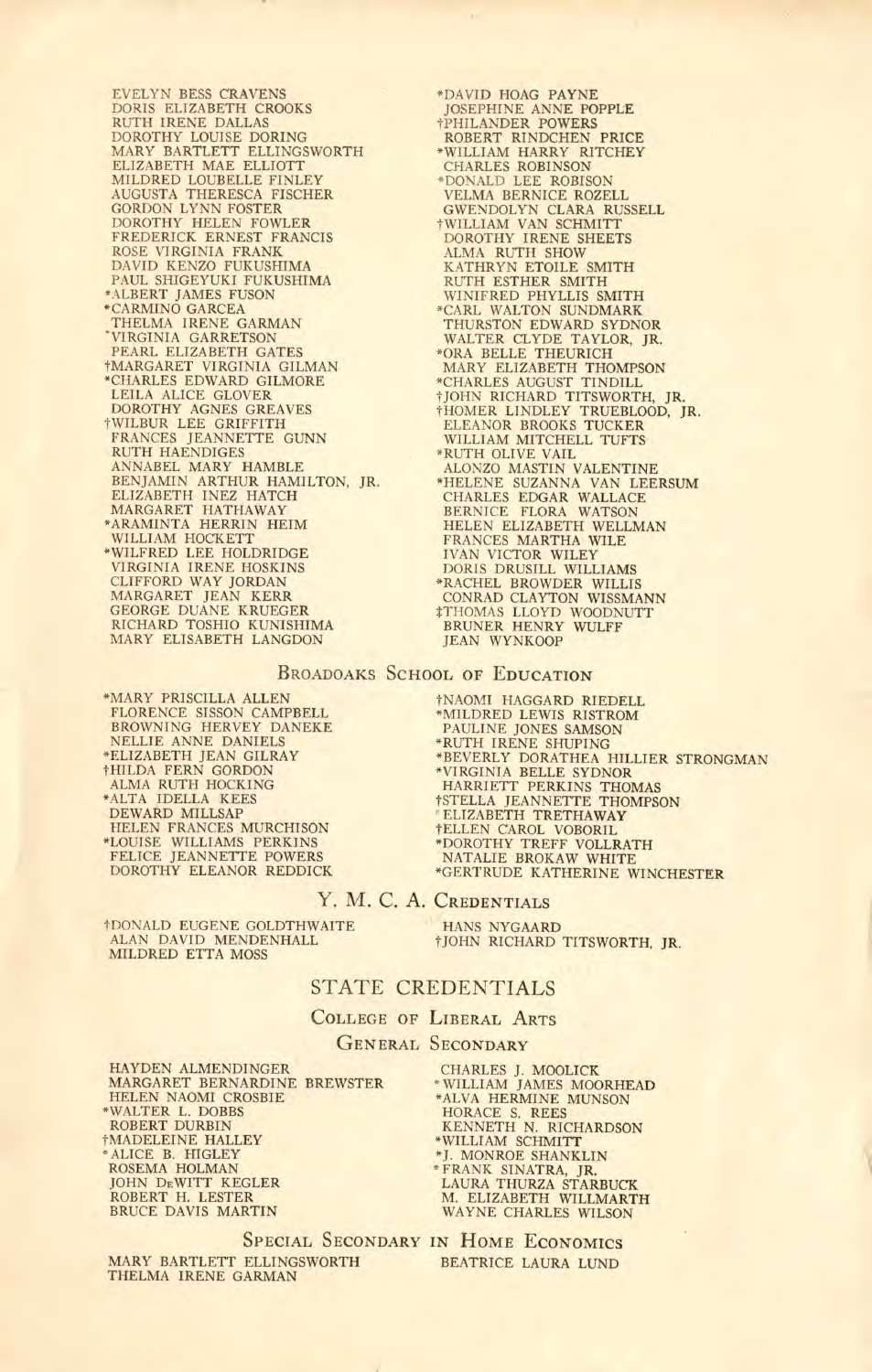EVELYN BESS CRAVENS DORIS ELIZABETH CROOKS RUTH IRENE DALLAS DOROTHY LOUISE DORING MARY BARTLETT ELLINGSWORTH ELIZABETH MAE ELLIOTT MILDRED LOUBELLE FINLEY<br>AUGUSTA THERESCA FISCHER<br>GORDON LYNN FOSTER<br>DOROTHY HELEN FOWLER<br>FREDERICK ERNEST FRANCIS ROSE VIRGINIA FRANK DAVID KENZO FUKUSHIMA PAUL SHIGEYUKI FUKUSHIMA ALBERT JAMES FUSON CARMINO GARCEA THELMA IRENE GARMAN VIRGINIA GARRETSON PEARL ELIZABETH GATES tMARGARET VIRGINIA GILMAN \*CHARLES EDWARD GILMORE LEILA ALICE GLOVER<br>DOROTHY AGNES GREAVES<br>†WILBUR LEE GRIFFITH<br>FRANCES JEANNETTE GUNN RUTH HAENDIGES ANNABEL MARY HAMBLE<br>BENJAMIN ARTHUR HAMILTON, JR.<br>ELIZABETH INEZ HATCH<br>MARGARET HATHAWAY<br>ARAMINTA HERRIN HEIM<br>WILLIAM HOCKETT WILFRED LEE HOLDRIDGE VIRGINIA IRENE HOSKINS CLIFFORD WAY JORDAN MARGARET JEAN KERR GEORGE DUANE KRUEGER RICHARD TOSHIO KUNISHIMA MARY ELISABETH LANGDON

\*DAVID HOAG PAYNE<br>JOSEPHINE ANNE POPPLE<br>†PHILANDER POWERS<br>ROBERT RINDCHEN PRICE -WILLIAM HARRY RITCHEY CHARLES ROBINSON<br>\*DONALD LEE ROBISON \*DONALD LEE ROBISON<br>GWENDOLYN CLARA RUSSELL<br>GWENDOLYN CLARA RUSSELL<br>†WILLIAM VAN SCHMITT<br>DOROTHY IRENE SHEETS ALMA RUTH SHOW KATHRYN ETOILE SMITH RUTH ESTHER SMITH WINIFRED PHYLLIS SMITH CARL WALTON SUNDMARK THURSTON EDWARD SYDNOR<br>
\*ORA BELLE THEURICH<br>
\*ORA BELLE THEURICH MARY ELIZABETH THOMPSON<br>\*CHARLES AUGUST TINDILL<br>†JOHN RICHARD TITSWORTH, JR.<br>†HOMER LINDLEY TRUEBLOOD, JR.<br>ELEANOR BROOKS TUCKER<br>WILLIAM MITCHELL TUFTS "RUTH OLIVE VAIL ALONZO MASTIN VALENTINE "HELENE SUZANNA VAN LEERSUM CHARLES EDGAR WALLACE BERNICE FLORA WATSON HELEN ELIZABETH WELLMAN FRANCES MARTHA WILEY<br>
IVAN VICTOR WILEY<br>
"DORIS DRUSILL WILLIAMS<br>
"RACHEL BROWDER WILLIS<br>
CONRAD CLAYTON WISSMANN<br>
†THOMAS LLOYD WOODNUTT<br>
JEAN WYNKOOP<br>
JEAN WYNKOOP

#### BROADOAKS SCHOOL OF EDUCATION

MARY PRISCILLA ALLEN<br>FLORENCE SISSON CAMPBELL<br>BROWNING HERVEY DANEKE NELLIE ANNE DANIELS ELIZABETH JEAN GILRAY tHILDA FERN GORDON ALMA RUTH HOCKING 'ALTA IDELLA KEES DEWARD MILLSAP HELEN FRANCES MURCHISON •LOUISE WILLIAMS PERKINS FELICE JEANNETFE POWERS DOROTHY ELEANOR REDDICK

1-NAOMI HAGGARD RIEDELL "MILDRED LEWIS RISTROM PAULINE JONES SAMSON "RUTH IRENE SHUPING "BEVERLY DORATHEA HILLIER STRONGMAN \*VIRGINIA BELLE SYDNOR<br>HARRIETT PERKINS THOMAS<br>†STELLA JEANNETTE THOMPSON ELIZABETH TRETHAWAY 1-ELLEN CAROL VOBORIL "DOROTHY TREFF VOLLRATH NATALIE BROKAW WHITE GERTRUDE KATHERINE WINCHESTER

#### Y. M. C. A. CREDENTIALS

1-DONALD EUGENE GOLDTHWAITE ALAN DAVID MENDENHALL MILDRED ETTA MOSS

HANS NYGAARD<br>†JOHN RICHARD TITSWORTH, JR.

### STATE CREDENTIALS

COLLEGE OF LIBERAL ARTS

#### GENERAL SECONDARY

MARGARET BERNARDINE BREWSTER HELEN NAOMI CROSBIE "WALTER L. DOBBS ROBERT DURBIN 1-MADELEINE HALLEY "ALICE B. HIGLEY ROSEMA HOLMAN JOHN DEWITT KEGLER ROBERT H. LESTER BRUCE DAVIS MARTIN

CHARLES J. MOOLICK BREWSTER "WILLIAM JAMES MOORHEAD "ALVA HERMINE MUNSON HORACE S. REES<br>
KENNETH N. RICHARDSON<br>
\*WILLIAM SCHMITT<br>
\*J. MONROE SHANKLIN<br>
\*FRANK SINATRA, JR.<br>
\*FRANK SINATRA, JR.<br>
LAURA THURZA STARBUCK<br>
M. ELIZABETH WILLMARTH WAYNE CHARLES WILSON

SPECIAL SECONDARY IN HOME ECONOMICS BEATRICE LAURA LUND MARY BARTLETT ELLINGSWORTH THELMA IRENE GARMAN

HAYDEN ALMENDINGER